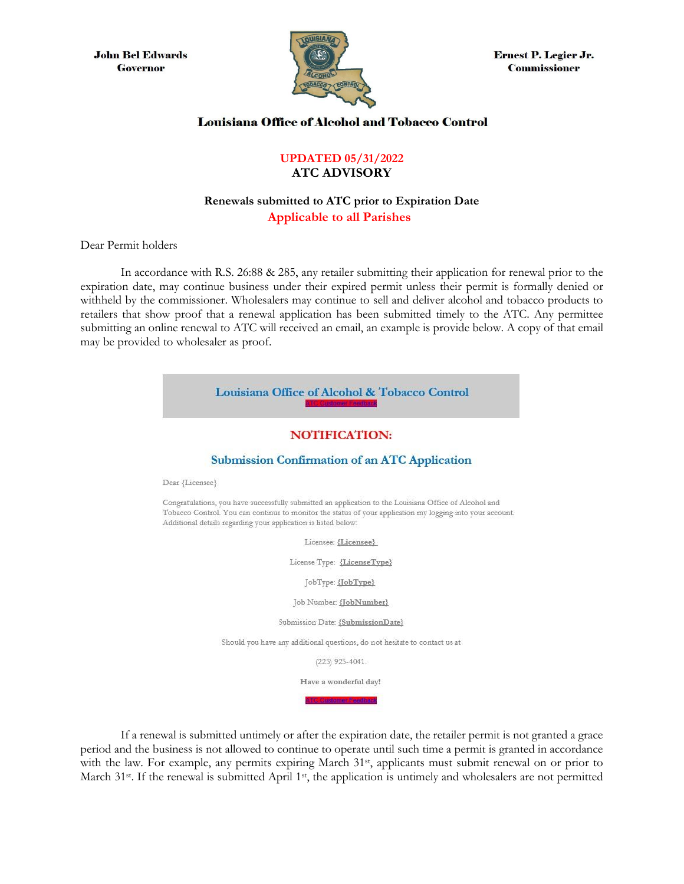**John Bel Edwards Governor** 



**Ernest P. Legier Jr. Commissioner** 

## **Louisiana Office of Alcohol and Tobacco Control**

## **UPDATED 05/31/2022 ATC ADVISORY**

## **Renewals submitted to ATC prior to Expiration Date Applicable to all Parishes**

Dear Permit holders

In accordance with R.S. 26:88 & 285, any retailer submitting their application for renewal prior to the expiration date, may continue business under their expired permit unless their permit is formally denied or withheld by the commissioner. Wholesalers may continue to sell and deliver alcohol and tobacco products to retailers that show proof that a renewal application has been submitted timely to the ATC. Any permittee submitting an online renewal to ATC will received an email, an example is provide below. A copy of that email may be provided to wholesaler as proof.



If a renewal is submitted untimely or after the expiration date, the retailer permit is not granted a grace period and the business is not allowed to continue to operate until such time a permit is granted in accordance with the law. For example, any permits expiring March 31<sup>st</sup>, applicants must submit renewal on or prior to March 31<sup>st</sup>. If the renewal is submitted April 1<sup>st</sup>, the application is untimely and wholesalers are not permitted